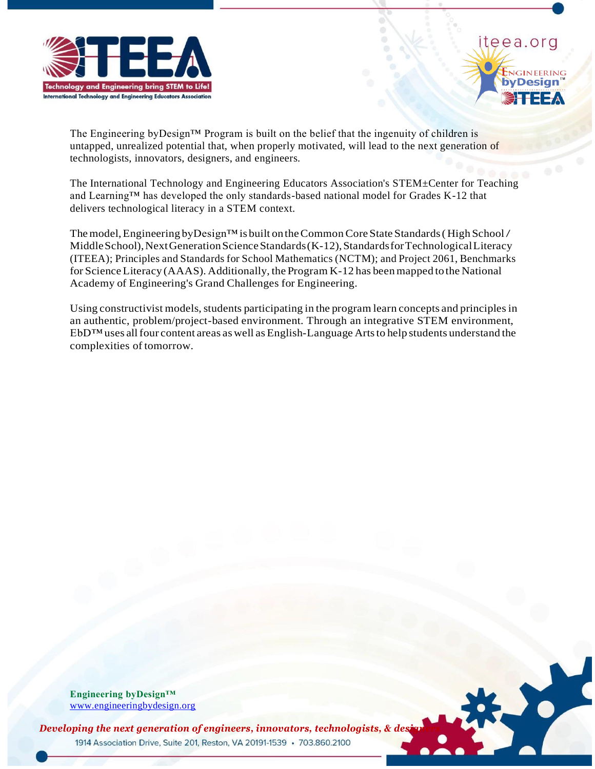



The Engineering byDesign<sup>TM</sup> Program is built on the belief that the ingenuity of children is untapped, unrealized potential that, when properly motivated, will lead to the next generation of technologists, innovators, designers, and engineers.

The International Technology and Engineering Educators Association's STEM±Center for Teaching and Learning™ has developed the only standards-based national model for Grades K-12 that delivers technological literacy in a STEM context.

The model, Engineering byDesign™ is built on the Common Core State Standards (High School / Middle School), Next Generation Science Standards (K-12), Standards for Technological Literacy (ITEEA); Principles and Standards for School Mathematics (NCTM); and Project 2061, Benchmarks for Science Literacy (AAAS). Additionally, the Program K-12 has been mapped to the National Academy of Engineering's Grand Challenges for Engineering.

Using constructivist models, students participating in the program learn concepts and principles in an authentic, problem/project-based environment. Through an integrative STEM environment,  $EbD^{TM}$  uses all four content areas as well as English-Language Arts to help students understand the complexities of tomorrow.

**Engineering byDesign™** [www.engineeringbydesign.org](http://www.engineeringbydesign.org/)



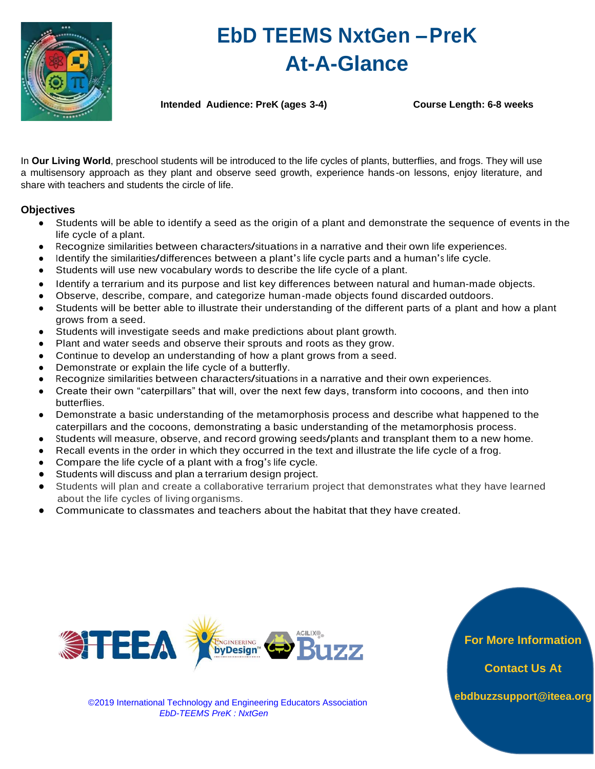

# **EbD TEEMS NxtGen –PreK At-A-Glance**

**Intended Audience: PreK (ages 3-4) Course Length: 6-8 weeks**

In **Our Living World**, preschool students will be introduced to the life cycles of plants, butterflies, and frogs. They will use a multisensory approach as they plant and observe seed growth, experience hands-on lessons, enjoy literature, and share with teachers and students the circle of life.

## **Objectives**

- Students will be able to identify a seed as the origin of a plant and demonstrate the sequence of events in the life cycle of a plant.
- Recognize similarities between characters/situations in a narrative and their own life experiences.
- Identify the similarities/differences between a plant's life cycle parts and a human's life cycle.
- Students will use new vocabulary words to describe the life cycle of a plant.
- Identify a terrarium and its purpose and list key differences between natural and human-made objects.
- Observe, describe, compare, and categorize human-made objects found discarded outdoors.
- Students will be better able to illustrate their understanding of the different parts of a plant and how a plant grows from a seed.
- Students will investigate seeds and make predictions about plant growth.
- Plant and water seeds and observe their sprouts and roots as they grow.
- Continue to develop an understanding of how a plant grows from a seed.
- Demonstrate or explain the life cycle of a butterfly.
- Recognize similarities between characters/situations in a narrative and their own experiences.
- Create their own "caterpillars" that will, over the next few days, transform into cocoons, and then into butterflies.
- Demonstrate a basic understanding of the metamorphosis process and describe what happened to the caterpillars and the cocoons, demonstrating a basic understanding of the metamorphosis process.
- Students will measure, observe, and record growing seeds/plants and transplant them to a new home.
- Recall events in the order in which they occurred in the text and illustrate the life cycle of a frog.
- Compare the life cycle of a plant with a frog's life cycle.
- Students will discuss and plan aterrarium design project.
- Students will plan and create a collaborative terrarium project that demonstrates what they have learned about the life cycles of livingorganisms.
- Communicate to classmates and teachers about the habitat that they have created.





©2019 International Technology and Engineering Educators Association *EbD-TEEMS PreK : NxtGen*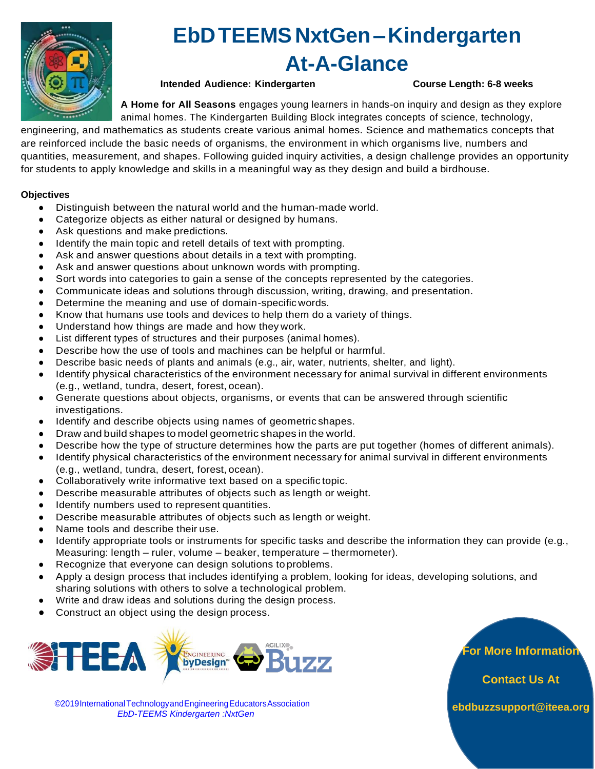

## **EbDTEEMSNxtGen–Kindergarten At-A-Glance**

## **Intended Audience: Kindergarten Course Length: 6-8 weeks**

**A Home for All Seasons** engages young learners in hands-on inquiry and design as they explore animal homes. The Kindergarten Building Block integrates concepts of science, technology,

engineering, and mathematics as students create various animal homes. Science and mathematics concepts that are reinforced include the basic needs of organisms, the environment in which organisms live, numbers and quantities, measurement, and shapes. Following guided inquiry activities, a design challenge provides an opportunity for students to apply knowledge and skills in a meaningful way as they design and build a birdhouse.

### **Objectives**

- Distinguish between the natural world and the human-made world.
- Categorize objects as either natural or designed by humans.
- Ask questions and make predictions.
- Identify the main topic and retell details of text with prompting.
- Ask and answer questions about details in a text with prompting.
- Ask and answer questions about unknown words with prompting.
- Sort words into categories to gain a sense of the concepts represented by the categories.
- Communicate ideas and solutions through discussion, writing, drawing, and presentation.
- Determine the meaning and use of domain-specific words.
- Know that humans use tools and devices to help them do a variety of things.
- Understand how things are made and how they work.
- List different types of structures and their purposes (animal homes).
- Describe how the use of tools and machines can be helpful or harmful.
- Describe basic needs of plants and animals (e.g., air, water, nutrients, shelter, and light).
- Identify physical characteristics of the environment necessary for animal survival in different environments (e.g., wetland, tundra, desert, forest, ocean).
- Generate questions about objects, organisms, or events that can be answered through scientific investigations.
- Identify and describe objects using names of geometric shapes.
- Draw andbuildshapes to model geometric shapes inthe world.
- Describe how the type of structure determines how the parts are put together (homes of different animals).
- Identify physical characteristics of the environment necessary for animal survival in different environments (e.g., wetland, tundra, desert, forest, ocean).
- Collaboratively write informative text based on a specific topic.
- Describe measurable attributes of objects such as length or weight.
- Identify numbers used to represent quantities.
- Describe measurable attributes of objects such as length or weight.
- Name tools and describe their use.
- Identify appropriate tools or instruments for specific tasks and describe the information they can provide (e.g., Measuring: length – ruler, volume – beaker, temperature – thermometer).
- Recognize that everyone can design solutions toproblems.
- Apply a design process that includes identifying a problem, looking for ideas, developing solutions, and sharing solutions with others to solve a technological problem.
- Write and draw ideas and solutions during the design process.
- Construct an object using the design process.



©2019InternationalTechnologyandEngineeringEducatorsAssociation *EbD-TEEMS Kindergarten :NxtGen*

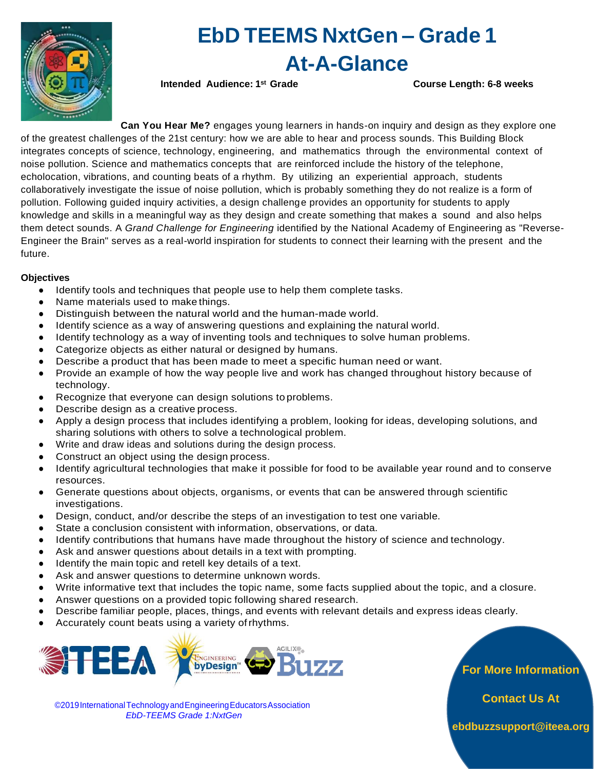

## **EbD TEEMS NxtGen – Grade 1 At-A-Glance**

**Intended Audience: 1st Grade Course Length: 6-8 weeks**

**Can You Hear Me?** engages young learners in hands-on inquiry and design as they explore one of the greatest challenges of the 21st century: how we are able to hear and process sounds. This Building Block integrates concepts of science, technology, engineering, and mathematics through the environmental context of noise pollution. Science and mathematics concepts that are reinforced include the history of the telephone, echolocation, vibrations, and counting beats of a rhythm. By utilizing an experiential approach, students collaboratively investigate the issue of noise pollution, which is probably something they do not realize is a form of pollution. Following guided inquiry activities, a design challenge provides an opportunity for students to apply knowledge and skills in a meaningful way as they design and create something that makes a sound and also helps them detect sounds. A *Grand Challenge for Engineering* identified by the National Academy of Engineering as "Reverse-Engineer the Brain" serves as a real-world inspiration for students to connect their learning with the present and the future.

## **Objectives**

- Identify tools and techniques that people use to help them complete tasks.
- Name materials used to make things.
- Distinguish between the natural world and the human-made world.
- Identify science as a way of answering questions and explaining the natural world.
- Identify technology as a way of inventing tools and techniques to solve human problems.
- Categorize objects as either natural or designed by humans.
- Describe a product that has been made to meet a specific human need or want.
- Provide an example of how the way people live and work has changed throughout history because of technology.
- Recognize that everyone can design solutions to problems.
- Describe design as a creative process.
- Apply a design process that includes identifying a problem, looking for ideas, developing solutions, and sharing solutions with others to solve a technological problem.
- Write and draw ideas and solutions during the design process.
- Construct an object using the design process.
- Identify agricultural technologies that make it possible for food to be available year round and to conserve resources.
- Generate questions about objects, organisms, or events that can be answered through scientific investigations.
- Design, conduct, and/or describe the steps of an investigation to test one variable.
- State a conclusion consistent with information, observations, or data.
- Identify contributions that humans have made throughout the history of science and technology.
- Ask and answer questions about details in a text with prompting.
- Identify the main topic and retell key details of a text.
- Ask and answer questions to determine unknown words.
- Write informative text that includes the topic name, some facts supplied about the topic, and a closure.
- Answer questions on a provided topic following shared research.
- Describe familiar people, places, things, and events with relevant details and express ideas clearly.
- Accurately count beats using a variety of rhythms.



©2019InternationalTechnologyandEngineeringEducatorsAssociation *EbD-TEEMS Grade 1:NxtGen*

**For More Information** 

**Contact Us At**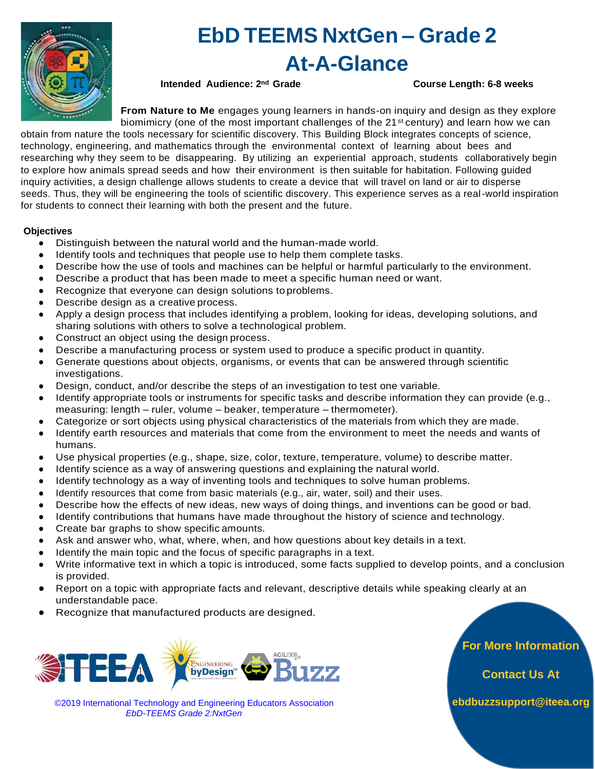

## **EbD TEEMS NxtGen – Grade 2 At-A-Glance**

**Intended Audience: 2nd Grade Course Length: 6-8 weeks**

**From Nature to Me** engages young learners in hands-on inquiry and design as they explore biomimicry (one of the most important challenges of the 21<sup>st</sup> century) and learn how we can

obtain from nature the tools necessary for scientific discovery. This Building Block integrates concepts of science, technology, engineering, and mathematics through the environmental context of learning about bees and researching why they seem to be disappearing. By utilizing an experiential approach, students collaboratively begin to explore how animals spread seeds and how their environment is then suitable for habitation. Following guided inquiry activities, a design challenge allows students to create a device that will travel on land or air to disperse seeds. Thus, they will be engineering the tools of scientific discovery. This experience serves as a real-world inspiration for students to connect their learning with both the present and the future.

### **Objectives**

- Distinguish between the natural world and the human-made world.
- Identify tools and techniques that people use to help them complete tasks.
- Describe how the use of tools and machines can be helpful or harmful particularly to the environment.
- Describe a product that has been made to meet a specific human need or want.
- Recognize that everyone can design solutions toproblems.
- Describe design as a creative process.
- Apply a design process that includes identifying a problem, looking for ideas, developing solutions, and sharing solutions with others to solve a technological problem.
- Construct an object using the design process.
- Describe a manufacturing process or system used to produce a specific product in quantity.
- Generate questions about objects, organisms, or events that can be answered through scientific investigations.
- Design, conduct, and/or describe the steps of an investigation to test one variable.
- Identify appropriate tools or instruments for specific tasks and describe information they can provide (e.g., measuring: length – ruler, volume – beaker, temperature – thermometer).
- Categorize or sort objects using physical characteristics of the materials from which they are made.
- Identify earth resources and materials that come from the environment to meet the needs and wants of humans.
- Use physical properties (e.g., shape, size, color, texture, temperature, volume) to describe matter.
- Identify science as a way of answering questions and explaining the natural world.
- Identify technology as a way of inventing tools and techniques to solve human problems.
- Identify resources that come from basic materials (e.g., air, water, soil) and their uses.
- Describe how the effects of new ideas, new ways of doing things, and inventions can be good or bad.
- Identify contributions that humans have made throughout the history of science and technology.
- Create bar graphs to show specific amounts.
- Ask and answer who, what, where, when, and how questions about key details in a text.
- Identify the main topic and the focus of specific paragraphs in a text.
- Write informative text in which a topic is introduced, some facts supplied to develop points, and a conclusion is provided.
- Report on a topic with appropriate facts and relevant, descriptive details while speaking clearly at an understandable pace.
- Recognize that manufactured products are designed.



©2019 International Technology and Engineering Educators Association *EbD-TEEMS Grade 2:NxtGen*

**For More Information** 

**Contact Us At**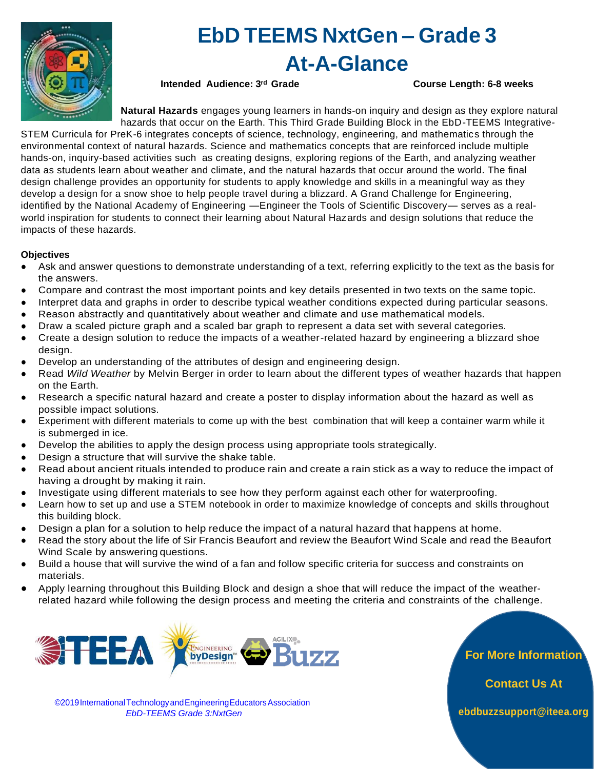

## **EbD TEEMS NxtGen – Grade 3 At-A-Glance**

**Intended Audience: 3rd Grade Course Length: 6-8 weeks**

**Natural Hazards** engages young learners in hands-on inquiry and design as they explore natural hazards that occur on the Earth. This Third Grade Building Block in the EbD-TEEMS Integrative-

STEM Curricula for PreK-6 integrates concepts of science, technology, engineering, and mathematics through the environmental context of natural hazards. Science and mathematics concepts that are reinforced include multiple hands-on, inquiry-based activities such as creating designs, exploring regions of the Earth, and analyzing weather data as students learn about weather and climate, and the natural hazards that occur around the world. The final design challenge provides an opportunity for students to apply knowledge and skills in a meaningful way as they develop a design for a snow shoe to help people travel during a blizzard. A Grand Challenge for Engineering, identified by the National Academy of Engineering —Engineer the Tools of Scientific Discovery— serves as a realworld inspiration for students to connect their learning about Natural Hazards and design solutions that reduce the impacts of these hazards.

### **Objectives**

- Ask and answer questions to demonstrate understanding of a text, referring explicitly to the text as the basis for the answers.
- Compare and contrast the most important points and key details presented in two texts on the same topic.
- Interpret data and graphs in order to describe typical weather conditions expected during particular seasons.
- Reason abstractly and quantitatively about weather and climate and use mathematical models.
- Draw a scaled picture graph and a scaled bar graph to represent a data set with several categories.
- Create a design solution to reduce the impacts of a weather-related hazard by engineering a blizzard shoe design.
- Develop an understanding of the attributes of design and engineering design.
- Read *Wild Weather* by Melvin Berger in order to learn about the different types of weather hazards that happen on the Earth.
- Research a specific natural hazard and create a poster to display information about the hazard as well as possible impact solutions.
- Experiment with different materials to come up with the best combination that will keep a container warm while it is submerged in ice.
- Develop the abilities to apply the design process using appropriate tools strategically.
- Design a structure that will survive the shake table.
- Read about ancient rituals intended to produce rain and create a rain stick as a way to reduce the impact of having a drought by making it rain.
- Investigate using different materials to see how they perform against each other for waterproofing.
- Learn how to set up and use a STEM notebook in order to maximize knowledge of concepts and skills throughout this building block.
- Design a plan for a solution to help reduce the impact of a natural hazard that happens at home.
- Read the story about the life of Sir Francis Beaufort and review the Beaufort Wind Scale and read the Beaufort Wind Scale by answering questions.
- Build a house that will survive the wind of a fan and follow specific criteria for success and constraints on materials.
- Apply learning throughout this Building Block and design a shoe that will reduce the impact of the weatherrelated hazard while following the design process and meeting the criteria and constraints of the challenge.



**For More Information** 

**Contact Us At**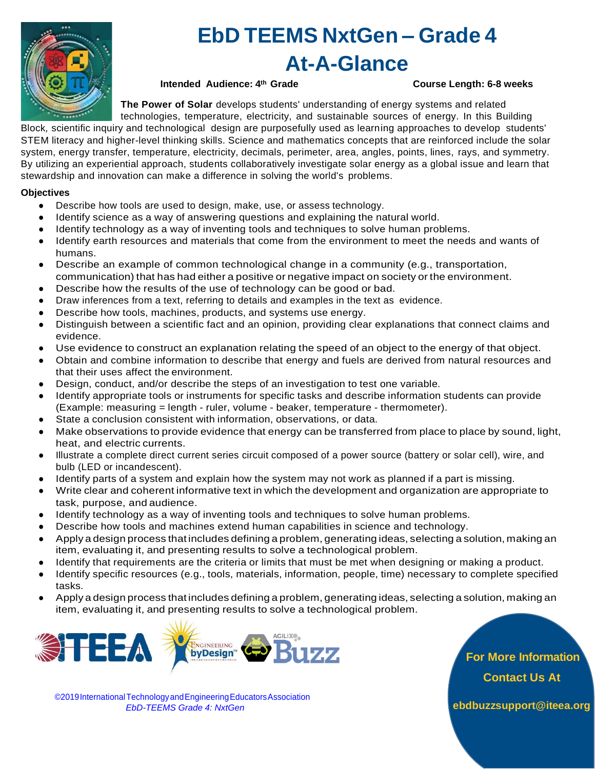

## **EbD TEEMS NxtGen – Grade 4 At-A-Glance**

## **Intended Audience: 4th Grade Course Length: 6-8 weeks**

**The Power of Solar** develops students' understanding of energy systems and related

technologies, temperature, electricity, and sustainable sources of energy. In this Building Block*,* scientific inquiry and technological design are purposefully used as learning approaches to develop students' STEM literacy and higher-level thinking skills. Science and mathematics concepts that are reinforced include the solar system, energy transfer, temperature, electricity, decimals, perimeter, area, angles, points, lines, rays, and symmetry. By utilizing an experiential approach, students collaboratively investigate solar energy as a global issue and learn that stewardship and innovation can make a difference in solving the world's problems.

### **Objectives**

- Describe how tools are used to design, make, use, or assess technology.
- Identify science as a way of answering questions and explaining the natural world.
- Identify technology as a way of inventing tools and techniques to solve human problems.
- Identify earth resources and materials that come from the environment to meet the needs and wants of humans.
- Describe an example of common technological change in a community (e.g., transportation, communication) that has had either a positive or negative impact on society or the environment.
- Describe how the results of the use of technology can be good or bad.
- Draw inferences from a text, referring to details and examples in the text as evidence.
- Describe how tools, machines, products, and systems use energy.
- Distinguish between a scientific fact and an opinion, providing clear explanations that connect claims and evidence.
- Use evidence to construct an explanation relating the speed of an object to the energy of that object.
- Obtain and combine information to describe that energy and fuels are derived from natural resources and that their uses affect the environment.
- Design, conduct, and/or describe the steps of an investigation to test one variable.
- Identify appropriate tools or instruments for specific tasks and describe information students can provide (Example: measuring = length - ruler, volume - beaker, temperature - thermometer).
- State a conclusion consistent with information, observations, or data.
- Make observations to provide evidence that energy can be transferred from place to place by sound, light, heat, and electric currents.
- Illustrate a complete direct current series circuit composed of a power source (battery or solar cell), wire, and bulb (LED or incandescent).
- Identify parts of a system and explain how the system may not work as planned if a part is missing.
- Write clear and coherent informative text in which the development and organization are appropriate to task, purpose, and audience.
- Identify technology as a way of inventing tools and techniques to solve human problems.
- Describe how tools and machines extend human capabilities in science and technology.
- Apply a design process that includes defining a problem, generating ideas, selecting a solution, making an item, evaluating it, and presenting results to solve a technological problem.
- Identify that requirements are the criteria or limits that must be met when designing or making a product.
- Identify specific resources (e.g., tools, materials, information, people, time) necessary to complete specified tasks.
- Apply a design process that includes defining a problem, generating ideas, selecting a solution, making an item, evaluating it, and presenting results to solve a technological problem.



**For More Information Contact Us At**

©2019InternationalTechnologyandEngineeringEducatorsAssociation *EbD-TEEMS Grade 4: NxtGen* **[ebdbuzzsupport@iteea.org](mailto:ebdbuzzsupport@iteea.org)**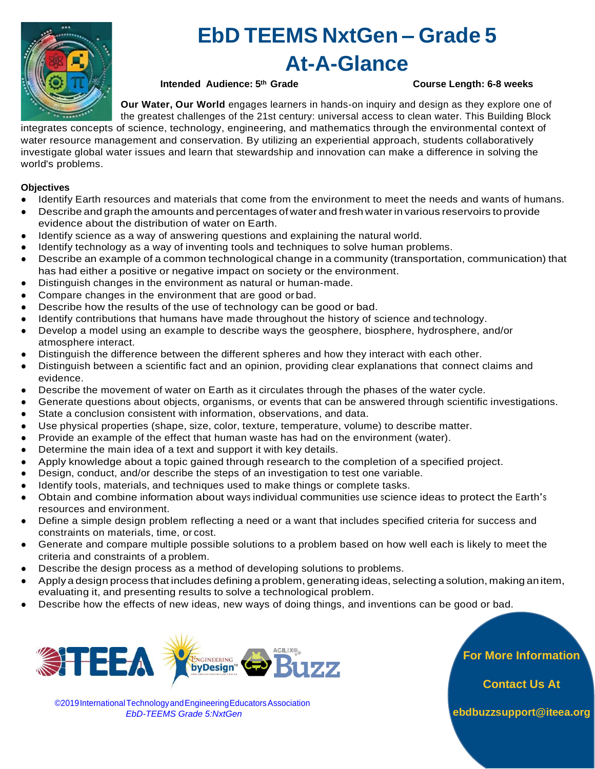

## **EbD TEEMS NxtGen – Grade 5 At-A-Glance**

**Intended Audience: 5th Grade Course Length: 6-8 weeks**

**Our Water, Our World** engages learners in hands-on inquiry and design as they explore one of the greatest challenges of the 21st century: universal access to clean water. This Building Block

integrates concepts of science, technology, engineering, and mathematics through the environmental context of water resource management and conservation. By utilizing an experiential approach, students collaboratively investigate global water issues and learn that stewardship and innovation can make a difference in solving the world's problems.

### **Objectives**

- Identify Earth resources and materials that come from the environment to meet the needs and wants of humans.
- Describe and graph the amounts and percentages of water and fresh water in various reservoirs to provide evidence about the distribution of water on Earth.
- Identify science as a way of answering questions and explaining the natural world.
- Identify technology as a way of inventing tools and techniques to solve human problems.
- Describe an example of a common technological change in a community (transportation, communication) that has had either a positive or negative impact on society or the environment.
- Distinguish changes in the environment as natural or human-made.
- Compare changes in the environment that are good or bad.
- Describe how the results of the use of technology can be good or bad.
- Identify contributions that humans have made throughout the history of science and technology.
- Develop a model using an example to describe ways the geosphere, biosphere, hydrosphere, and/or atmosphere interact.
- Distinguish the difference between the different spheres and how they interact with each other.
- Distinguish between a scientific fact and an opinion, providing clear explanations that connect claims and evidence.
- Describe the movement of water on Earth as it circulates through the phases of the water cycle.
- Generate questions about objects, organisms, or events that can be answered through scientific investigations.
- State a conclusion consistent with information, observations, and data.
- Use physical properties (shape, size, color, texture, temperature, volume) to describe matter.
- Provide an example of the effect that human waste has had on the environment (water).
- Determine the main idea of a text and support it with key details.
- Apply knowledge about a topic gained through research to the completion of a specified project.
- Design, conduct, and/or describe the steps of an investigation to test one variable.
- Identify tools, materials, and techniques used to make things or complete tasks.
- Obtain and combine information about ways individual communities use science ideas to protect the Earth's resources and environment.
- Define a simple design problem reflecting a need or a want that includes specified criteria for success and constraints on materials, time, or cost.
- Generate and compare multiple possible solutions to a problem based on how well each is likely to meet the criteria and constraints of aproblem.
- Describe the design process as a method of developing solutions to problems.
- Apply a design process that includes defining a problem, generating ideas, selecting a solution, making an item, evaluating it, and presenting results to solve a technological problem.
- Describe how the effects of new ideas, new ways of doing things, and inventions can be good or bad.



©2019InternationalTechnologyandEngineeringEducatorsAssociation *EbD-TEEMS Grade 5:NxtGen*

**For More Information** 

**Contact Us At**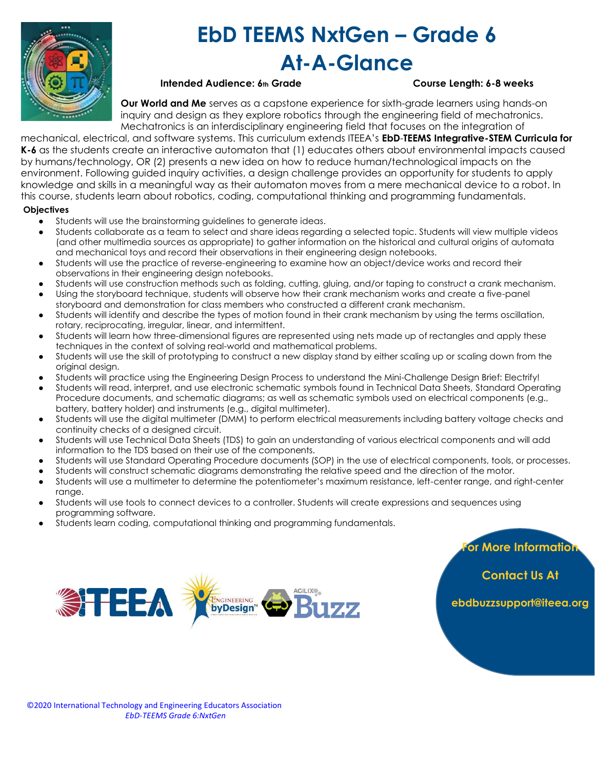

## **EbD TEEMS NxtGen – Grade 6 At-A-Glance**

## **Intended Audience: 6**<sup>th</sup> Grade Course Length: 6-8 weeks

**Our World and Me** serves as a capstone experience for sixth-grade learners using hands-on inquiry and design as they explore robotics through the engineering field of mechatronics. Mechatronics is an interdisciplinary engineering field that focuses on the integration of

mechanical, electrical, and software systems. This curriculum extends ITEEA's **EbD**-**TEEMS Integrative-STEM Curricula for K-6** as the students create an interactive automaton that (1) educates others about environmental impacts caused by humans/technology, OR (2) presents a new idea on how to reduce human/technological impacts on the environment. Following guided inquiry activities, a design challenge provides an opportunity for students to apply knowledge and skills in a meaningful way as their automaton moves from a mere mechanical device to a robot. In this course, students learn about robotics, coding, computational thinking and programming fundamentals.

### **Objectives**

- Students will use the brainstorming guidelines to generate ideas.
- Students collaborate as a team to select and share ideas regarding a selected topic. Students will view multiple videos (and other multimedia sources as appropriate) to gather information on the historical and cultural origins of automata and mechanical toys and record their observations in their engineering design notebooks.
- Students will use the practice of reverse-engineering to examine how an object/device works and record their observations in their engineering design notebooks.
- Students will use construction methods such as folding, cutting, gluing, and/or taping to construct a crank mechanism. Using the storyboard technique, students will observe how their crank mechanism works and create a five-panel
- storyboard and demonstration for class members who constructed a different crank mechanism.
- Students will identify and describe the types of motion found in their crank mechanism by using the terms oscillation, rotary, reciprocating, irregular, linear, and intermittent.
- Students will learn how three-dimensional figures are represented using nets made up of rectangles and apply these techniques in the context of solving real-world and mathematical problems.
- Students will use the skill of prototyping to construct a new display stand by either scaling up or scaling down from the original design.
- Students will practice using the Engineering Design Process to understand the Mini-Challenge Design Brief: Electrify!
- Students will read, interpret, and use electronic schematic symbols found in Technical Data Sheets, Standard Operating Procedure documents, and schematic diagrams; as well as schematic symbols used on electrical components (e.g., battery, battery holder) and instruments (e.g., digital multimeter).
- Students will use the digital multimeter (DMM) to perform electrical measurements including battery voltage checks and continuity checks of a designed circuit.
- Students will use Technical Data Sheets (TDS) to gain an understanding of various electrical components and will add information to the TDS based on their use of the components.
- Students will use Standard Operating Procedure documents (SOP) in the use of electrical components, tools, or processes.
- Students will construct schematic diagrams demonstrating the relative speed and the direction of the motor.
- Students will use a multimeter to determine the potentiometer's maximum resistance, left-center range, and right-center range.
- Students will use tools to connect devices to a controller. Students will create expressions and sequences using programming software.
- Students learn coding, computational thinking and programming fundamentals.



**For More Information** 

**Contact Us At**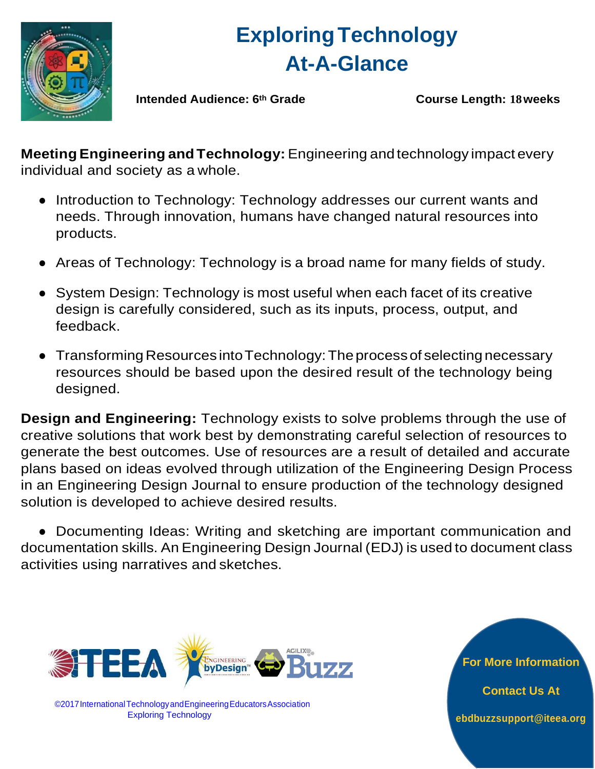

# **ExploringTechnology At-A-Glance**

**Intended Audience: 6th Grade Course Length: 18weeks**

**MeetingEngineering and Technology:** Engineering and technology impact every individual and society as a whole.

- Introduction to Technology: Technology addresses our current wants and needs. Through innovation, humans have changed natural resources into products.
- Areas of Technology: Technology is a broad name for many fields of study.
- System Design: Technology is most useful when each facet of its creative design is carefully considered, such as its inputs, process, output, and feedback.
- Transforming Resources intoTechnology:The processof selecting necessary resources should be based upon the desired result of the technology being designed.

**Design and Engineering:** Technology exists to solve problems through the use of creative solutions that work best by demonstrating careful selection of resources to generate the best outcomes. Use of resources are a result of detailed and accurate plans based on ideas evolved through utilization of the Engineering Design Process in an Engineering Design Journal to ensure production of the technology designed solution is developed to achieve desired results.

● Documenting Ideas: Writing and sketching are important communication and documentation skills. An Engineering Design Journal (EDJ) is used to document class activities using narratives and sketches.



©2017InternationalTechnologyandEngineeringEducatorsAssociation Exploring Technology

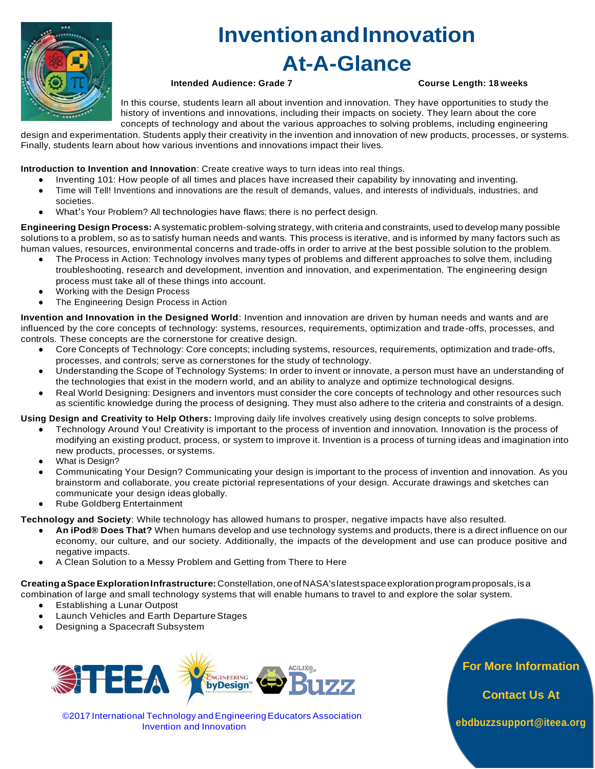

# **InventionandInnovation**

**At-A-Glance**

### **Intended Audience: Grade 7 Course Length: 18 weeks**

In this course, students learn all about invention and innovation. They have opportunities to study the history of inventions and innovations, including their impacts on society. They learn about the core concepts of technology and about the various approaches to solving problems, including engineering

design and experimentation. Students apply their creativity in the invention and innovation of new products, processes, or systems. Finally, students learn about how various inventions and innovations impact their lives.

**Introduction to Invention and Innovation**: Create creative ways to turn ideas into real things.

- Inventing 101: How people of all times and places have increased their capability by innovating and inventing.
- Time will Tell! Inventions and innovations are the result of demands, values, and interests of individuals, industries, and societies.
- What's Your Problem? All technologies have flaws; there is no perfect design.

**Engineering Design Process:** A systematic problem-solving strategy, with criteria and constraints, used to develop many possible solutions to a problem, so as to satisfy human needs and wants. This process is iterative, and is informed by many factors such as human values, resources, environmental concerns and trade-offs in order to arrive at the best possible solution to the problem.

- The Process in Action: Technology involves many types of problems and different approaches to solve them, including troubleshooting, research and development, invention and innovation, and experimentation. The engineering design process must take all of these things into account.
- Working with the Design Process
- The Engineering Design Process in Action

**Invention and Innovation in the Designed World**: Invention and innovation are driven by human needs and wants and are influenced by the core concepts of technology: systems, resources, requirements, optimization and trade-offs, processes, and controls. These concepts are the cornerstone for creative design.

- Core Concepts of Technology: Core concepts; including systems, resources, requirements, optimization and trade-offs, processes, and controls; serve as cornerstones for the study of technology.
- Understanding the Scope of Technology Systems: In order to invent or innovate, a person must have an understanding of the technologies that exist in the modern world, and an ability to analyze and optimize technological designs.
- Real World Designing: Designers and inventors must consider the core concepts of technology and other resources such as scientific knowledge during the process of designing. They must also adhere to the criteria and constraints of a design.

**Using Design and Creativity to Help Others:** Improving daily life involves creatively using design concepts to solve problems.

- Technology Around You! Creativity is important to the process of invention and innovation. Innovation is the process of modifying an existing product, process, or system to improve it. Invention is a process of turning ideas and imagination into new products, processes, or systems.
- What is Design?
- Communicating Your Design? Communicating your design is important to the process of invention and innovation. As you brainstorm and collaborate, you create pictorial representations of your design. Accurate drawings and sketches can communicate your design ideas globally.
- **Rube Goldberg Entertainment**

**Technology and Society**: While technology has allowed humans to prosper, negative impacts have also resulted.

- **An iPod® Does That?** When humans develop and use technology systems and products, there is a direct influence on our economy, our culture, and our society. Additionally, the impacts of the development and use can produce positive and negative impacts.
- A Clean Solution to a Messy Problem and Getting from There to Here

**Creating aSpaceExplorationInfrastructure:** Constellation, oneofNASA'slatestspaceexplorationprogram proposals,isa combination of large and small technology systems that will enable humans to travel to and explore the solar system.

- Establishing a Lunar Outpost
- Launch Vehicles and Earth DepartureStages
- Designing a Spacecraft Subsystem



©2017 International Technology andEngineeringEducators Association Invention and Innovation

**For More Information** 

**Contact Us At**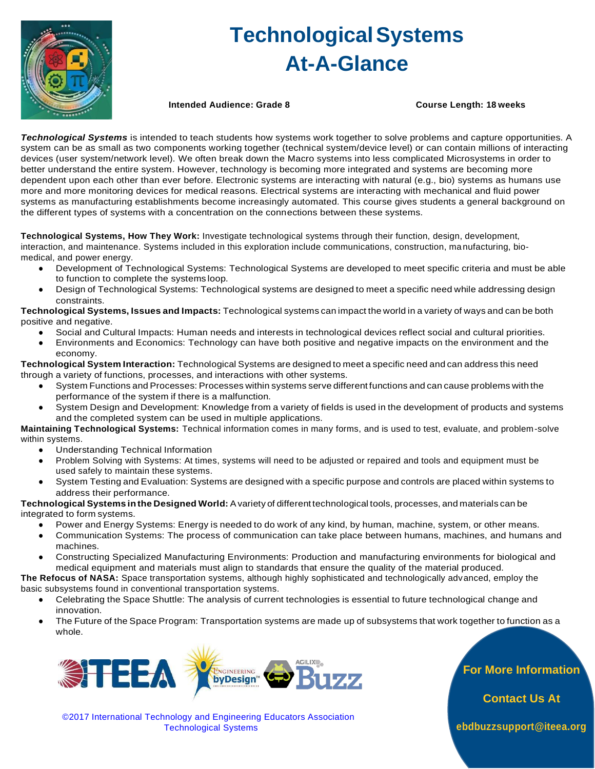

# **TechnologicalSystems At-A-Glance**

**Intended Audience: Grade 8 Course Length: 18 weeks**

*Technological Systems* is intended to teach students how systems work together to solve problems and capture opportunities. A system can be as small as two components working together (technical system/device level) or can contain millions of interacting devices (user system/network level). We often break down the Macro systems into less complicated Microsystems in order to better understand the entire system. However, technology is becoming more integrated and systems are becoming more dependent upon each other than ever before. Electronic systems are interacting with natural (e.g., bio) systems as humans use more and more monitoring devices for medical reasons. Electrical systems are interacting with mechanical and fluid power systems as manufacturing establishments become increasingly automated. This course gives students a general background on the different types of systems with a concentration on the connections between these systems.

**Technological Systems, How They Work:** Investigate technological systems through their function, design, development, interaction, and maintenance. Systems included in this exploration include communications, construction, ma nufacturing, biomedical, and power energy.

- Development of Technological Systems: Technological Systems are developed to meet specific criteria and must be able to function to complete the systems loop.
- Design of Technological Systems: Technological systems are designed to meet a specific need while addressing design constraints.

**Technological Systems, Issues and Impacts:** Technological systems can impact the world in a variety of ways and can be both positive and negative.

- Social and Cultural Impacts: Human needs and interests in technological devices reflect social and cultural priorities.
- Environments and Economics: Technology can have both positive and negative impacts on the environment and the economy.

**Technological System Interaction:** Technological Systems are designed to meet a specific need and can address this need through a variety of functions, processes, and interactions with other systems.

- System Functions and Processes: Processes within systems serve different functions and can cause problems with the performance of the system if there is a malfunction.
- System Design and Development: Knowledge from a variety of fields is used in the development of products and systems and the completed system can be used in multiple applications.

**Maintaining Technological Systems:** Technical information comes in many forms, and is used to test, evaluate, and problem-solve within systems.

- Understanding Technical Information
- Problem Solving with Systems: At times, systems will need to be adjusted or repaired and tools and equipment must be used safely to maintain these systems.
- System Testing and Evaluation: Systems are designed with a specific purpose and controls are placed within systems to address their performance.

**Technological Systems inthe Designed World:** Avariety of different technological tools, processes, and materials can be integrated to form systems.

- Power and Energy Systems: Energy is needed to do work of any kind, by human, machine, system, or other means.
- Communication Systems: The process of communication can take place between humans, machines, and humans and machines.
- Constructing Specialized Manufacturing Environments: Production and manufacturing environments for biological and medical equipment and materials must align to standards that ensure the quality of the material produced.

**The Refocus of NASA:** Space transportation systems, although highly sophisticated and technologically advanced, employ the basic subsystems found in conventional transportation systems.

- Celebrating the Space Shuttle: The analysis of current technologies is essential to future technological change and innovation.
- The Future of the Space Program: Transportation systems are made up of subsystems that work together to function as a whole.



**For More Information** 

**Contact Us At** 

©2017 International Technology and Engineering Educators Association Technological Systems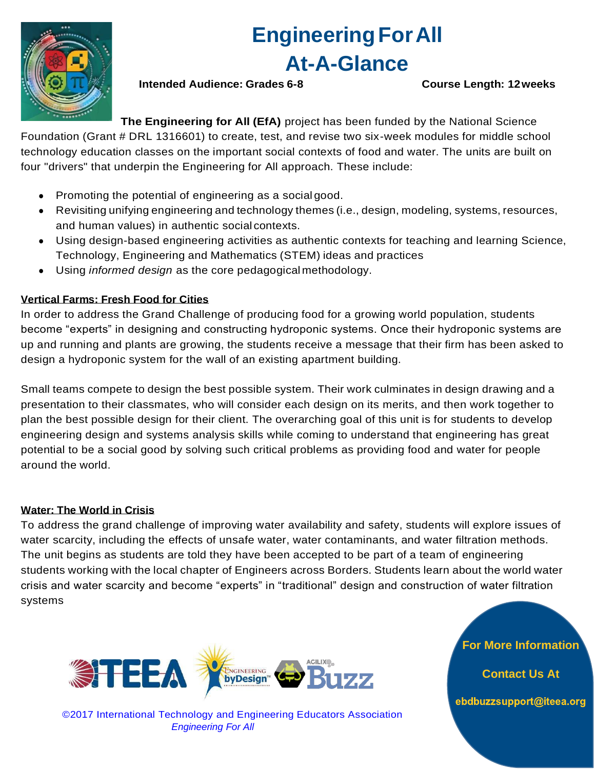

## **EngineeringForAll At-A-Glance**

**Intended Audience: Grades 6-8 Course Length: 12weeks**

**The Engineering for All (EfA)** project has been funded by the National Science

Foundation (Grant # DRL 1316601) to create, test, and revise two six-week modules for middle school technology education classes on the important social contexts of food and water. The units are built on four "drivers" that underpin the Engineering for All approach. These include:

- Promoting the potential of engineering as a social good.
- Revisiting unifying engineering and technology themes (i.e., design, modeling, systems, resources, and human values) in authentic social contexts.
- Using design-based engineering activities as authentic contexts for teaching and learning Science, Technology, Engineering and Mathematics (STEM) ideas and practices
- Using *informed design* as the core pedagogical methodology.

## **Vertical Farms: Fresh Food for Cities**

In order to address the Grand Challenge of producing food for a growing world population, students become "experts" in designing and constructing hydroponic systems. Once their hydroponic systems are up and running and plants are growing, the students receive a message that their firm has been asked to design a hydroponic system for the wall of an existing apartment building.

Small teams compete to design the best possible system. Their work culminates in design drawing and a presentation to their classmates, who will consider each design on its merits, and then work together to plan the best possible design for their client. The overarching goal of this unit is for students to develop engineering design and systems analysis skills while coming to understand that engineering has great potential to be a social good by solving such critical problems as providing food and water for people around the world.

## **Water: The World in Crisis**

To address the grand challenge of improving water availability and safety, students will explore issues of water scarcity, including the effects of unsafe water, water contaminants, and water filtration methods. The unit begins as students are told they have been accepted to be part of a team of engineering students working with the local chapter of Engineers across Borders. Students learn about the world water crisis and water scarcity and become "experts" in "traditional" design and construction of water filtration systems



©2017 International Technology and Engineering Educators Association *Engineering For All*

**For More Information** 

**Contact Us At**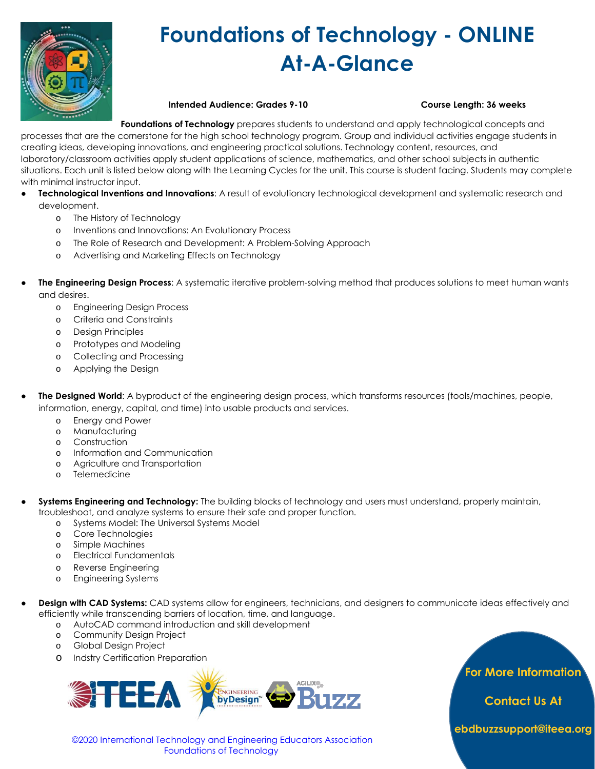

# **Foundations of Technology - ONLINE At-A-Glance**

### **Intended Audience: Grades 9-10 Course Length: 36 weeks**

**Foundations of Technology** prepares students to understand and apply technological concepts and processes that are the cornerstone for the high school technology program. Group and individual activities engage students in

creating ideas, developing innovations, and engineering practical solutions. Technology content, resources, and laboratory/classroom activities apply student applications of science, mathematics, and other school subjects in authentic situations. Each unit is listed below along with the Learning Cycles for the unit. This course is student facing. Students may complete with minimal instructor input.

- **Technological Inventions and Innovations:** A result of evolutionary technological development and systematic research and development.
	- o The History of Technology
	- o Inventions and Innovations: An Evolutionary Process
	- o The Role of Research and Development: A Problem-Solving Approach
	- o Advertising and Marketing Effects on Technology
- **The Engineering Design Process:** A systematic iterative problem-solving method that produces solutions to meet human wants and desires.
	- o Engineering Design Process
	- o Criteria and Constraints
	- o Design Principles
	- o Prototypes and Modeling
	- o Collecting and Processing
	- o Applying the Design
- **The Designed World**: A byproduct of the engineering design process, which transforms resources (tools/machines, people, information, energy, capital, and time) into usable products and services.
	- o Energy and Power
	- o Manufacturing
	- o Construction
	- o Information and Communication
	- o Agriculture and Transportation
	- o Telemedicine
- Systems Engineering and Technology: The building blocks of technology and users must understand, properly maintain, troubleshoot, and analyze systems to ensure their safe and proper function.
	- o Systems Model: The Universal Systems Model
	- o Core Technologies
	- o Simple Machines
	- o Electrical Fundamentals
	- o Reverse Engineering
	- o Engineering Systems
- Design with CAD Systems: CAD systems allow for engineers, technicians, and designers to communicate ideas effectively and efficiently while transcending barriers of location, time, and language.
	- o AutoCAD command introduction and skill development
	- o Community Design Project
	- o Global Design Project
	- o Indstry Certification Preparation



 ©2020 International Technology and Engineering Educators Association Foundations of Technology

**For More Information** 

**Contact Us At**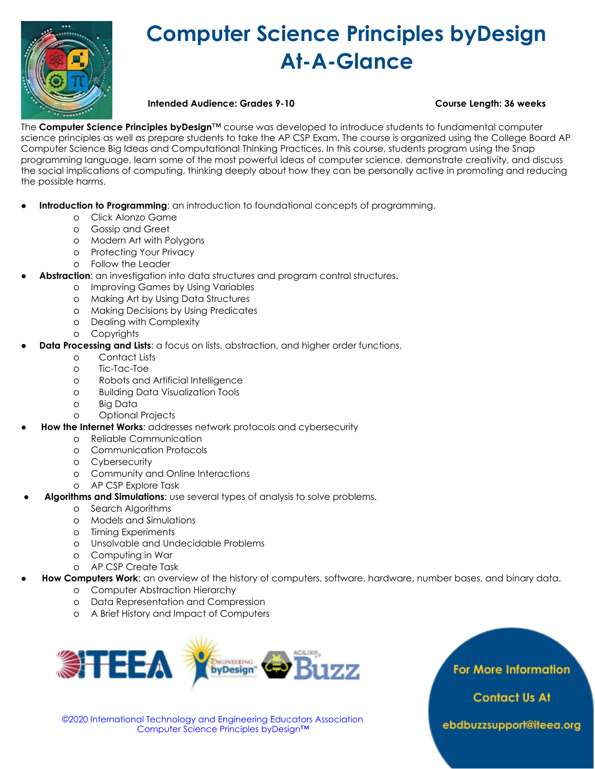

# **Computer Science Principles byDesign At-A-Glance**

**Intended Audience: Grades 9-10 Course Length: 36 weeks**

The **Computer Science Principles byDesign**™ course was developed to introduce students to fundamental computer science principles as well as prepare students to take the AP CSP Exam. The course is organized using the College Board AP Computer Science Big Ideas and Computational Thinking Practices. In this course, students program using the Snap programming language, learn some of the most powerful ideas of computer science, demonstrate creativity, and discuss the social implications of computing, thinking deeply about how they can be personally active in promoting and reducing the possible harms.

- **Introduction to Programming**: an introduction to foundational concepts of programming.
	- o Click Alonzo Game
	- o Gossip and Greet
	- o Modern Art with Polygons
	- o Protecting Your Privacy
	- o Follow the Leader
- Abstraction: an investigation into data structures and program control structures.
	- o Improving Games by Using Variables
	- o Making Art by Using Data Structures
	- o Making Decisions by Using Predicates
	- o Dealing with Complexity
	- o Copyrights
- **Data Processing and Lists:** a focus on lists, abstraction, and higher order functions.
	- o Contact Lists
	- o Tic-Tac-Toe
	- o Robots and Artificial Intelligence
	- o Building Data Visualization Tools
	- o Big Data
	- o Optional Projects
- **How the Internet Works**: addresses network protocols and cybersecurity
	- o Reliable Communication
	- o Communication Protocols
	- o Cybersecurity
	- o Community and Online Interactions
	- o AP CSP Explore Task
- **Algorithms and Simulations**: use several types of analysis to solve problems.
	- o Search Algorithms
	- o Models and Simulations
	- o Timing Experiments
	- o Unsolvable and Undecidable Problems
	- o Computing in War
	- o AP CSP Create Task
- **How Computers Work**: an overview of the history of computers, software, hardware, number bases, and binary data.
	- o Computer Abstraction Hierarchy
	- o Data Representation and Compression
	- o A Brief History and Impact of Computers



**For More Information** 

**Contact Us At** 

 ©2020 International Technology and Engineering Educators Association Computer Science Principles byDesign™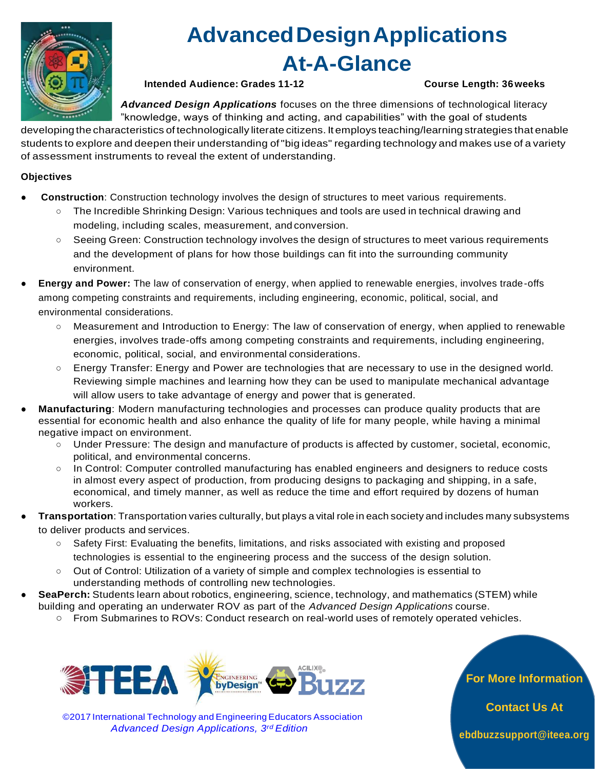

# **AdvancedDesignApplications At-A-Glance**

**Intended Audience: Grades 11-12 Course Length: 36weeks**

*Advanced Design Applications* focuses on the three dimensions of technological literacy "knowledge, ways of thinking and acting, and capabilities" with the goal of students

developing the characteristics of technologically literate citizens. It employs teaching/learning strategies that enable students to explore and deepen their understanding of "big ideas" regarding technology and makes use of a variety of assessment instruments to reveal the extent of understanding.

## **Objectives**

- **Construction**: Construction technology involves the design of structures to meet various requirements.
	- The Incredible Shrinking Design: Various techniques and tools are used in technical drawing and modeling, including scales, measurement, and conversion.
	- Seeing Green: Construction technology involves the design of structures to meet various requirements and the development of plans for how those buildings can fit into the surrounding community environment.
- **Energy and Power:** The law of conservation of energy, when applied to renewable energies, involves trade-offs among competing constraints and requirements, including engineering, economic, political, social, and environmental considerations.
	- Measurement and Introduction to Energy: The law of conservation of energy, when applied to renewable energies, involves trade-offs among competing constraints and requirements, including engineering, economic, political, social, and environmental considerations.
	- Energy Transfer: Energy and Power are technologies that are necessary to use in the designed world. Reviewing simple machines and learning how they can be used to manipulate mechanical advantage will allow users to take advantage of energy and power that is generated.
- **Manufacturing**: Modern manufacturing technologies and processes can produce quality products that are essential for economic health and also enhance the quality of life for many people, while having a minimal negative impact on environment.
	- Under Pressure: The design and manufacture of products is affected by customer, societal, economic, political, and environmental concerns.
	- In Control: Computer controlled manufacturing has enabled engineers and designers to reduce costs in almost every aspect of production, from producing designs to packaging and shipping, in a safe, economical, and timely manner, as well as reduce the time and effort required by dozens of human workers.
- **Transportation**: Transportation varies culturally, but plays a vital role in each society and includes many subsystems to deliver products and services.
	- Safety First: Evaluating the benefits, limitations, and risks associated with existing and proposed technologies is essential to the engineering process and the success of the design solution.
	- Out of Control: Utilization of a variety of simple and complex technologies is essential to understanding methods of controlling new technologies.
- SeaPerch: Students learn about robotics, engineering, science, technology, and mathematics (STEM) while building and operating an underwater ROV as part of the *Advanced Design Applications* course.
	- From Submarines to ROVs: Conduct research on real-world uses of remotely operated vehicles.



©2017 International Technology and EngineeringEducators Association *Advanced Design Applications, 3rd Edition*

**For More Information** 

**Contact Us At**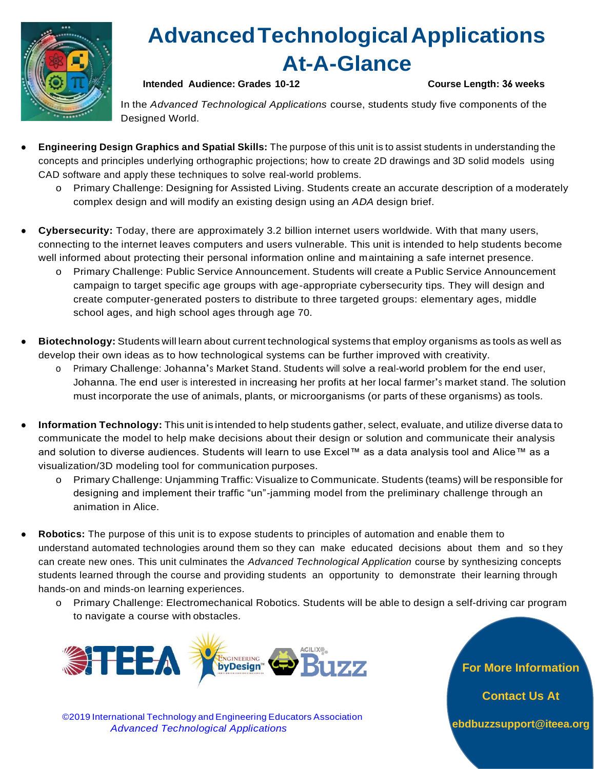

# **AdvancedTechnologicalApplications At-A-Glance**

## **Intended Audience: Grades 10-12 Course Length: 36 weeks**

In the *Advanced Technological Applications* course, students study five components of the Designed World.

- **Engineering Design Graphics and Spatial Skills:** The purpose of this unit is to assist students in understanding the concepts and principles underlying orthographic projections; how to create 2D drawings and 3D solid models using CAD software and apply these techniques to solve real-world problems.
	- o Primary Challenge: Designing for Assisted Living. Students create an accurate description of a moderately complex design and will modify an existing design using an *ADA* design brief.
- **Cybersecurity:** Today, there are approximately 3.2 billion internet users worldwide. With that many users, connecting to the internet leaves computers and users vulnerable. This unit is intended to help students become well informed about protecting their personal information online and maintaining a safe internet presence.
	- o Primary Challenge: Public Service Announcement. Students will create a Public Service Announcement campaign to target specific age groups with age-appropriate cybersecurity tips. They will design and create computer-generated posters to distribute to three targeted groups: elementary ages, middle school ages, and high school ages through age 70.
- Biotechnology: Students will learn about current technological systems that employ organisms as tools as well as develop their own ideas as to how technological systems can be further improved with creativity.
	- <sup>o</sup> Primary Challenge: Johanna's Market Stand. Students will solve a real-world problem for the end user, Johanna. The end user is interested in increasing her profits at her local farmer's market stand. The solution must incorporate the use of animals, plants, or microorganisms (or parts of these organisms) as tools.
- **Information Technology:** This unit is intended to help students gather, select, evaluate, and utilize diverse data to communicate the model to help make decisions about their design or solution and communicate their analysis and solution to diverse audiences. Students will learn to use Excel™ as a data analysis tool and Alice™ as a visualization/3D modeling tool for communication purposes.
	- o Primary Challenge: Unjamming Traffic: Visualizeto Communicate. Students (teams) will beresponsible for designing and implement their traffic "un"-jamming model from the preliminary challenge through an animation in Alice.
- Robotics: The purpose of this unit is to expose students to principles of automation and enable them to understand automated technologies around them so they can make educated decisions about them and so they can create new ones. This unit culminates the *Advanced Technological Application* course by synthesizing concepts students learned through the course and providing students an opportunity to demonstrate their learning through hands-on and minds-on learning experiences.
	- o Primary Challenge: Electromechanical Robotics. Students will be able to design a self-driving car program to navigate a course with obstacles.



©2019 International Technology and Engineering Educators Association *Advanced Technological Applications*

**For More Information** 

**Contact Us At**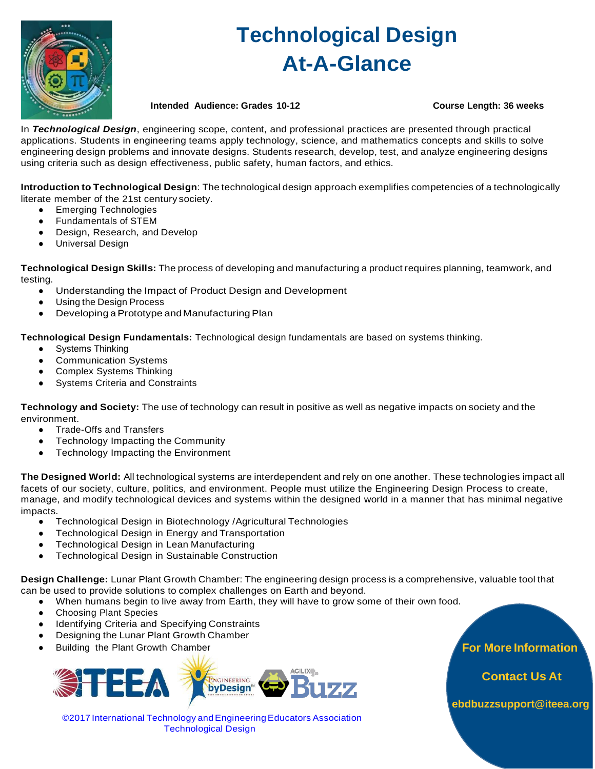

# **Technological Design At-A-Glance**

**Intended Audience: Grades 10-12 Course Length: 36 weeks**

In *Technological Design*, engineering scope, content, and professional practices are presented through practical applications. Students in engineering teams apply technology, science, and mathematics concepts and skills to solve engineering design problems and innovate designs. Students research, develop, test, and analyze engineering designs using criteria such as design effectiveness, public safety, human factors, and ethics.

**Introduction to Technological Design**: The technological design approach exemplifies competencies of a technologically literate member of the 21st century society.

- Emerging Technologies
- Fundamentals of STEM
- Design, Research, and Develop
- Universal Design

**Technological Design Skills:** The process of developing and manufacturing a product requires planning, teamwork, and testing.

- Understanding the Impact of Product Design and Development
- Using the Design Process
- Developing a Prototype and Manufacturing Plan

**Technological Design Fundamentals:** Technological design fundamentals are based on systems thinking.

- Systems Thinking
- Communication Systems
- Complex Systems Thinking
- Systems Criteria and Constraints

**Technology and Society:** The use of technology can result in positive as well as negative impacts on society and the environment.

- Trade-Offs and Transfers
- Technology Impacting the Community
- Technology Impacting the Environment

**The Designed World:** All technological systems are interdependent and rely on one another. These technologies impact all facets of our society, culture, politics, and environment. People must utilize the Engineering Design Process to create, manage, and modify technological devices and systems within the designed world in a manner that has minimal negative impacts.

- Technological Design in Biotechnology /Agricultural Technologies
- Technological Design in Energy and Transportation
- Technological Design in Lean Manufacturing
- Technological Design in Sustainable Construction

**Design Challenge:** Lunar Plant Growth Chamber: The engineering design process is a comprehensive, valuable tool that can be used to provide solutions to complex challenges on Earth and beyond.

- When humans begin to live away from Earth, they will have to grow some of their own food.
	- **Choosing Plant Species**
- Identifying Criteria and Specifying Constraints
- Designing the Lunar Plant Growth Chamber
- Building the Plant Growth Chamber **For More Information**



©2017 International Technology andEngineeringEducators Association Technological Design

**Contact Us At**